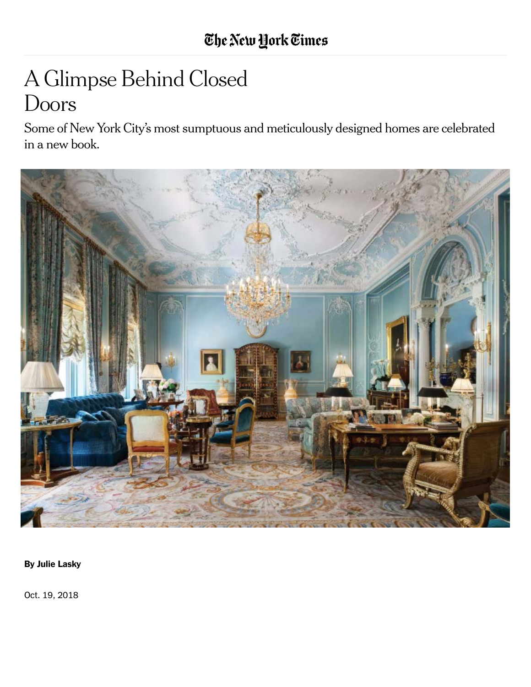# A Glimpse Behind Closed Doors

Some of New York City's most sumptuous and meticulously designed homes are celebrated in a new book.



By Julie Lasky

Oct. 19, 2018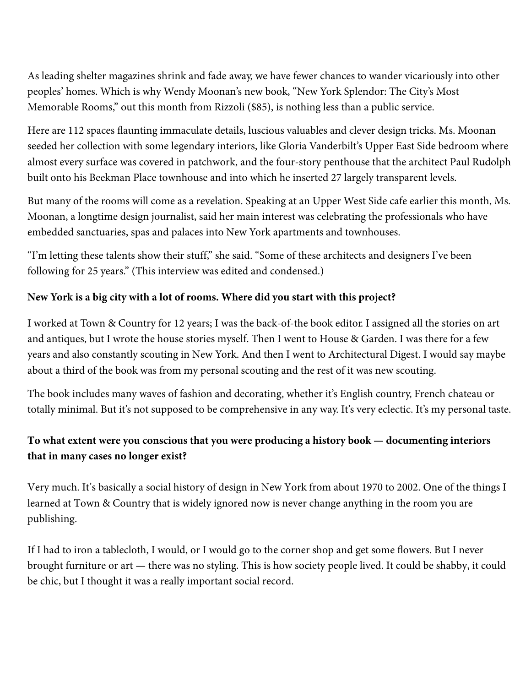As leading shelter magazines shrink and fade away, we have fewer chances to wander vicariously into other peoples' homes. Which is why Wendy Moonan's new book, "New York Splendor: The City's Most Memorable Rooms," out this month from Rizzoli (\$85), is nothing less than a public service.

Here are 112 spaces flaunting immaculate details, luscious valuables and clever design tricks. Ms. Moonan seeded her collection with some legendary interiors, like Gloria Vanderbilt's Upper East Side bedroom where almost every surface was covered in patchwork, and the four-story penthouse that the architect Paul Rudolph built onto his Beekman Place townhouse and into which he inserted 27 largely transparent levels.

But many of the rooms will come as a revelation. Speaking at an Upper West Side cafe earlier this month, Ms. Moonan, a longtime design journalist, said her main interest was celebrating the professionals who have embedded sanctuaries, spas and palaces into New York apartments and townhouses.

"I'm letting these talents show their stuff," she said. "Some of these architects and designers I've been following for 25 years." (This interview was edited and condensed.)

## **New York is a big city with a lot of rooms. Where did you start with this project?**

I worked at Town & Country for 12 years; I was the back-of-the book editor. I assigned all the stories on art [and antiques, but I wr](http://alexpapachristidis.com/)ote the house stories myself. Then I went to House & Garden. I was there for a few years and also constantly scouting in New York. And then I went to Architectural Digest. I would say maybe about a third of the book was from my personal scouting and the rest of it was new scouting.

The book includes many waves of fashion and decorating, whether it's English country, French chateau or totally minimal. But it's not [supposed to be c](https://www.nytimes.com/2012/03/31/us/albert-hadley-interior-decorator-to-high-society-dies-at-91.html)omprehensiv[e in any way. It](https://www.nytimes.com/2007/08/14/obituaries/14astor.html)'s very eclectic. It's my personal taste.

## **To what extent were you conscious that you were producing a history book — documenting interiors that in many cases no longer exist?**

Very much. It's basically a social history of design in New York from about 1970 to 2002. One of the things I learned at Town & Country that is widely ignored now is never change anything in the room you are publishing.

If I had to iron a tablecloth, I would, or I would go to the corner shop and get some flowers. But I never [brought furniture or art — there was no styling. This is how society people lived. It could be shabby, i](http://www.joannedepalma.com/)t could be chic, but I thought it was a really important social record.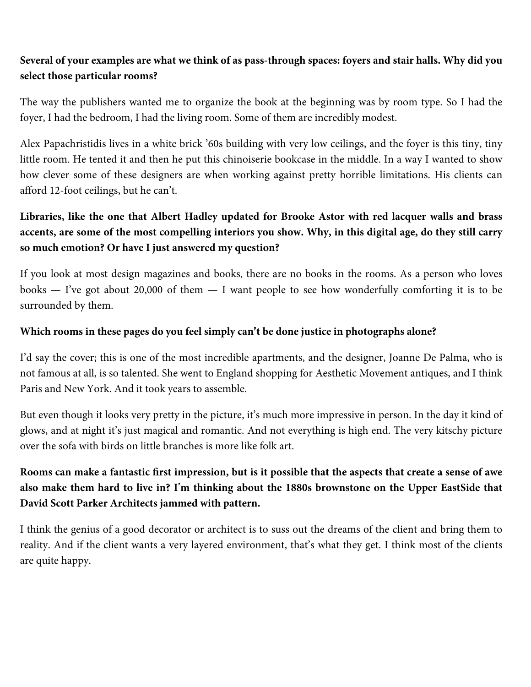## **Several of your examples are what we think of as pass-through spaces: foyers and stair halls. Why did you select those particular rooms?**

The way the publishers wanted me to organize the book at the beginning was by room type. So I had the foyer, I had the bedroom, I had the living room. Some of them are incredibly modest.

Alex Papachristidis lives in a white brick '60s building with very low ceilings, and the foyer is this tiny, tiny little room. He tented it and then he put this chinoiserie bookcase in the middle. In a way I wanted to show how clever some of these designers are when working against pretty horrible limitations. His clients can afford 12-foot ceilings, but he can't.

# **Libraries, like the one that Albert Hadley updated for Brooke Astor with red lacquer walls and brass accents, are some of the most compelling interiors you show. Why, in this digital age, do they still carry so much emotion? Or have I just answered my question?**

If you look at most design magazines and books, there are no books in the rooms. As a person who loves books — I've got about 20,000 of them — I want people to see how wonderfully comforting it is to be surrounded by them.

### **Which rooms in these pages do you feel simply can**'**t be done justice in photographs alone?**

I'd say the cover; this is one of the most incredible apartments, and the designer, Joanne De Palma, who is not famous at all, is so talented. She went to England shopping for Aesthetic Movement antiques, and I think Paris and New York. And it took years to assemble.

But even though it looks very pretty in the picture, it's much more impressive in person. In the day it kind of glows, and at night it's just magical and romantic. And not everything is high end. The very kitschy picture over the sofa with birds on little branches is more like folk art.

# **Rooms can make a fantastic first impression, but is [it possible t](http://www.nytimes.com/newsletters/realestate/)hat the aspects tha[t create a sense](https://twitter.com/nytrealestate) of awe also make them hard to live in? I**'**m thinking about the 1880s brownstone on the Upper EastSide that David Scott Parker Architects jammed with pattern.**

I think the genius of a good decorator or architect is to suss out the dreams of the client and bring them to reality. And if the client wants a very layered environment, that's what they get. I think most of the clients are quite happy.